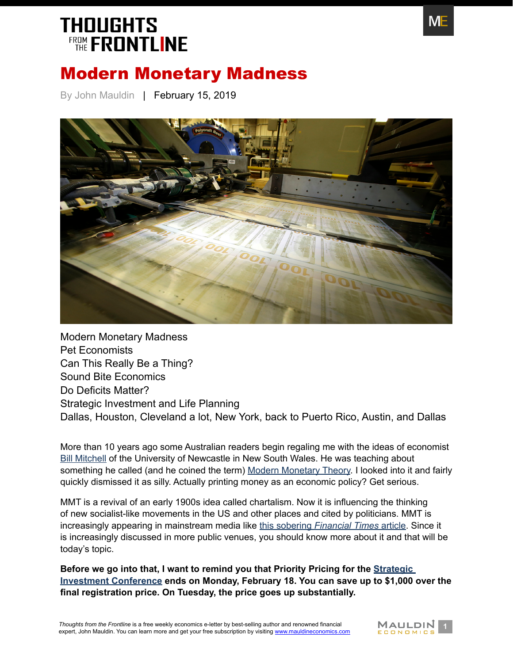

### Modern Monetary Madness

By John Mauldin | February 15, 2019



[Modern Monetary Madness](#page-1-0) [Pet Economists](#page-2-0) [Can This Really Be a Thing?](#page-3-0) [Sound Bite Economics](#page-4-0) [Do Deficits Matter?](#page-4-1) [Strategic Investment and Life Planning](#page-6-0) [Dallas, Houston, Cleveland a lot, New York, back to Puerto Rico, Austin, and Dallas](#page-7-0)

More than 10 years ago some Australian readers begin regaling me with the ideas of economist [Bill Mitchell](https://en.wikipedia.org/wiki/Bill_Mitchell_(economist)) of the University of Newcastle in New South Wales. He was teaching about something he called (and he coined the term) [Modern Monetary Theory](https://en.wikipedia.org/wiki/Modern_Monetary_Theory). I looked into it and fairly quickly dismissed it as silly. Actually printing money as an economic policy? Get serious.

MMT is a revival of an early 1900s idea called chartalism. Now it is influencing the thinking of new socialist-like movements in the US and other places and cited by politicians. MMT is increasingly appearing in mainstream media like this sobering *[Financial Times](https://www.ft.com/content/1149a140-2fa4-11e9-8744-e7016697f225)* article. Since it is increasingly discussed in more public venues, you should know more about it and that will be today's topic.

**Before we go into that, I want to remind you that Priority Pricing for the [Strategic](http://www.mauldineconomics.com/go/v3bbjk/MEC)  [Investment Conference](http://www.mauldineconomics.com/go/v3bbjk/MEC) ends on Monday, February 18. You can save up to \$1,000 over the final registration price. On Tuesday, the price goes up substantially.**

**Thoughts from the Frontline is a free weekly economics e-letter by best-selling author and renowned financial <b>MALLDIN**<br>expert, John Mauldin. You can learn more and get your free subscription by visiting www.mauldineconom expert, John Mauldin. You can learn more and get your free subscription by visiting [www.mauldineconomics.com](http://www.mauldineconomics.com/subscribe)

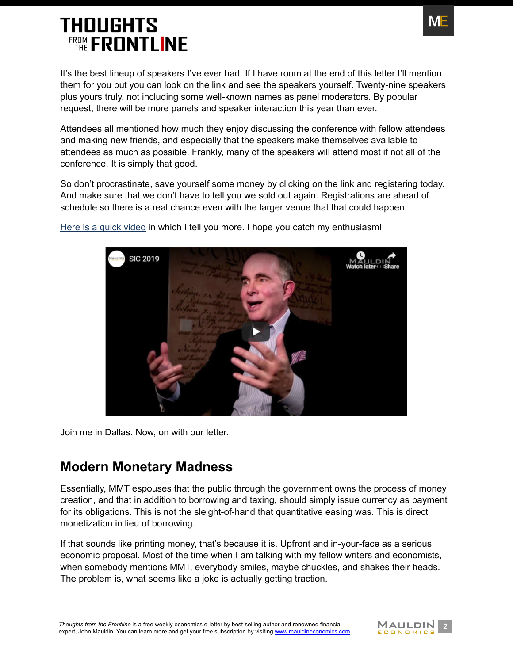It's the best lineup of speakers I've ever had. If I have room at the end of this letter I'll mention them for you but you can look on the link and see the speakers yourself. Twenty-nine speakers plus yours truly, not including some well-known names as panel moderators. By popular request, there will be more panels and speaker interaction this year than ever.

Attendees all mentioned how much they enjoy discussing the conference with fellow attendees and making new friends, and especially that the speakers make themselves available to attendees as much as possible. Frankly, many of the speakers will attend most if not all of the conference. It is simply that good.

So don't procrastinate, save yourself some money by clicking on the link and registering today. And make sure that we don't have to tell you we sold out again. Registrations are ahead of schedule so there is a real chance even with the larger venue that that could happen.



[Here is a quick video](http://www.mauldineconomics.com/go/v3bbjk/MEC) in which I tell you more. I hope you catch my enthusiasm!

Join me in Dallas. Now, on with our letter.

### <span id="page-1-0"></span>**Modern Monetary Madness**

Essentially, MMT espouses that the public through the government owns the process of money creation, and that in addition to borrowing and taxing, should simply issue currency as payment for its obligations. This is not the sleight-of-hand that quantitative easing was. This is direct monetization in lieu of borrowing.

If that sounds like printing money, that's because it is. Upfront and in-your-face as a serious economic proposal. Most of the time when I am talking with my fellow writers and economists, when somebody mentions MMT, everybody smiles, maybe chuckles, and shakes their heads. The problem is, what seems like a joke is actually getting traction.



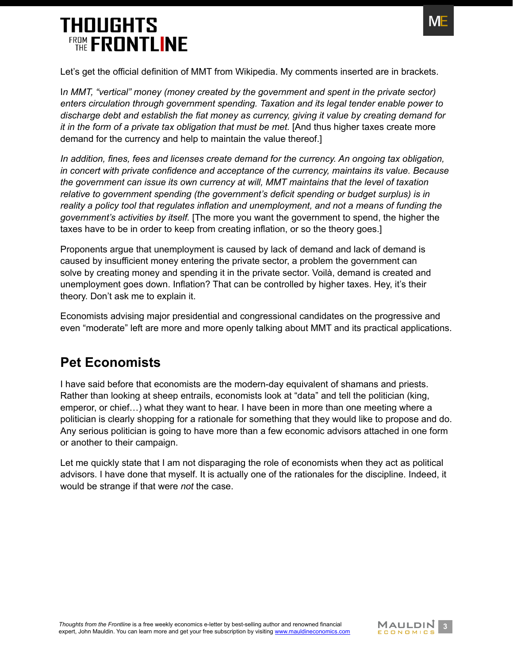

Let's get the official definition of MMT from Wikipedia. My comments inserted are in brackets.

In MMT, "vertical" money (money created by the government and spent in the private sector) *enters circulation through government spending. Taxation and its legal tender enable power to discharge debt and establish the fiat money as currency, giving it value by creating demand for it in the form of a private tax obligation that must be met.* [And thus higher taxes create more demand for the currency and help to maintain the value thereof.]

*In addition, fines, fees and licenses create demand for the currency. An ongoing tax obligation, in concert with private confidence and acceptance of the currency, maintains its value. Because the government can issue its own currency at will, MMT maintains that the level of taxation relative to government spending (the government's deficit spending or budget surplus) is in reality a policy tool that regulates inflation and unemployment, and not a means of funding the government's activities by itself.* [The more you want the government to spend, the higher the taxes have to be in order to keep from creating inflation, or so the theory goes.]

Proponents argue that unemployment is caused by lack of demand and lack of demand is caused by insufficient money entering the private sector, a problem the government can solve by creating money and spending it in the private sector. Voilà, demand is created and unemployment goes down. Inflation? That can be controlled by higher taxes. Hey, it's their theory. Don't ask me to explain it.

Economists advising major presidential and congressional candidates on the progressive and even "moderate" left are more and more openly talking about MMT and its practical applications.

#### <span id="page-2-0"></span>**Pet Economists**

I have said before that economists are the modern-day equivalent of shamans and priests. Rather than looking at sheep entrails, economists look at "data" and tell the politician (king, emperor, or chief…) what they want to hear. I have been in more than one meeting where a politician is clearly shopping for a rationale for something that they would like to propose and do. Any serious politician is going to have more than a few economic advisors attached in one form or another to their campaign.

Let me quickly state that I am not disparaging the role of economists when they act as political advisors. I have done that myself. It is actually one of the rationales for the discipline. Indeed, it would be strange if that were *not* the case.

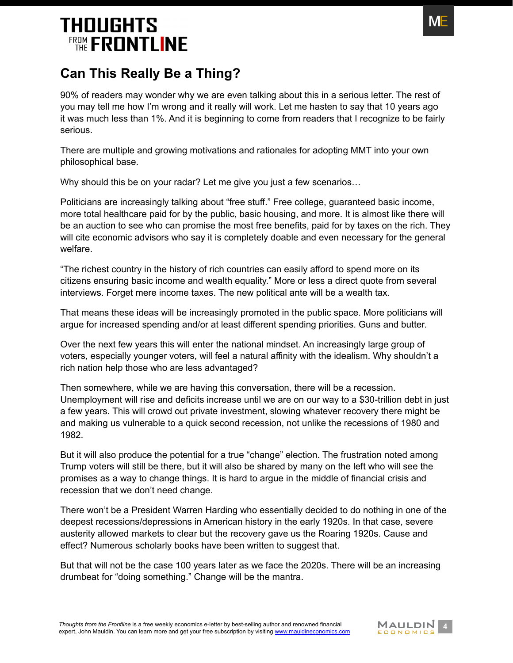

### <span id="page-3-0"></span>**Can This Really Be a Thing?**

90% of readers may wonder why we are even talking about this in a serious letter. The rest of you may tell me how I'm wrong and it really will work. Let me hasten to say that 10 years ago it was much less than 1%. And it is beginning to come from readers that I recognize to be fairly serious.

There are multiple and growing motivations and rationales for adopting MMT into your own philosophical base.

Why should this be on your radar? Let me give you just a few scenarios…

Politicians are increasingly talking about "free stuff." Free college, guaranteed basic income, more total healthcare paid for by the public, basic housing, and more. It is almost like there will be an auction to see who can promise the most free benefits, paid for by taxes on the rich. They will cite economic advisors who say it is completely doable and even necessary for the general welfare.

"The richest country in the history of rich countries can easily afford to spend more on its citizens ensuring basic income and wealth equality." More or less a direct quote from several interviews. Forget mere income taxes. The new political ante will be a wealth tax.

That means these ideas will be increasingly promoted in the public space. More politicians will argue for increased spending and/or at least different spending priorities. Guns and butter.

Over the next few years this will enter the national mindset. An increasingly large group of voters, especially younger voters, will feel a natural affinity with the idealism. Why shouldn't a rich nation help those who are less advantaged?

Then somewhere, while we are having this conversation, there will be a recession. Unemployment will rise and deficits increase until we are on our way to a \$30-trillion debt in just a few years. This will crowd out private investment, slowing whatever recovery there might be and making us vulnerable to a quick second recession, not unlike the recessions of 1980 and 1982.

But it will also produce the potential for a true "change" election. The frustration noted among Trump voters will still be there, but it will also be shared by many on the left who will see the promises as a way to change things. It is hard to argue in the middle of financial crisis and recession that we don't need change.

There won't be a President Warren Harding who essentially decided to do nothing in one of the deepest recessions/depressions in American history in the early 1920s. In that case, severe austerity allowed markets to clear but the recovery gave us the Roaring 1920s. Cause and effect? Numerous scholarly books have been written to suggest that.

But that will not be the case 100 years later as we face the 2020s. There will be an increasing drumbeat for "doing something." Change will be the mantra.

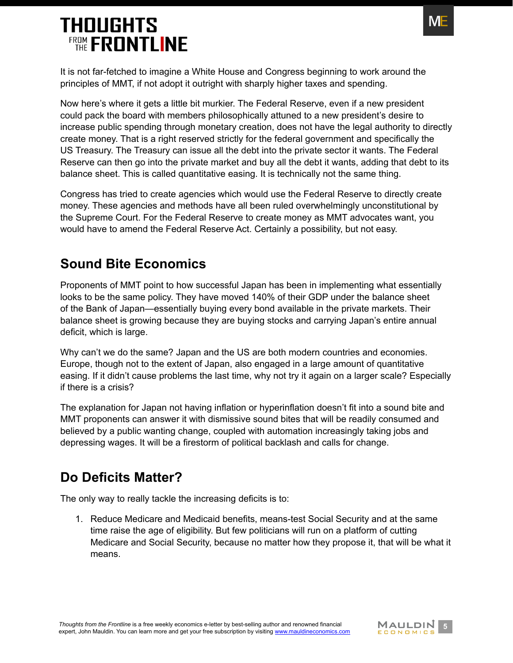

It is not far-fetched to imagine a White House and Congress beginning to work around the principles of MMT, if not adopt it outright with sharply higher taxes and spending.

Now here's where it gets a little bit murkier. The Federal Reserve, even if a new president could pack the board with members philosophically attuned to a new president's desire to increase public spending through monetary creation, does not have the legal authority to directly create money. That is a right reserved strictly for the federal government and specifically the US Treasury. The Treasury can issue all the debt into the private sector it wants. The Federal Reserve can then go into the private market and buy all the debt it wants, adding that debt to its balance sheet. This is called quantitative easing. It is technically not the same thing.

Congress has tried to create agencies which would use the Federal Reserve to directly create money. These agencies and methods have all been ruled overwhelmingly unconstitutional by the Supreme Court. For the Federal Reserve to create money as MMT advocates want, you would have to amend the Federal Reserve Act. Certainly a possibility, but not easy.

### <span id="page-4-0"></span>**Sound Bite Economics**

Proponents of MMT point to how successful Japan has been in implementing what essentially looks to be the same policy. They have moved 140% of their GDP under the balance sheet of the Bank of Japan—essentially buying every bond available in the private markets. Their balance sheet is growing because they are buying stocks and carrying Japan's entire annual deficit, which is large.

Why can't we do the same? Japan and the US are both modern countries and economies. Europe, though not to the extent of Japan, also engaged in a large amount of quantitative easing. If it didn't cause problems the last time, why not try it again on a larger scale? Especially if there is a crisis?

The explanation for Japan not having inflation or hyperinflation doesn't fit into a sound bite and MMT proponents can answer it with dismissive sound bites that will be readily consumed and believed by a public wanting change, coupled with automation increasingly taking jobs and depressing wages. It will be a firestorm of political backlash and calls for change.

### <span id="page-4-1"></span>**Do Deficits Matter?**

The only way to really tackle the increasing deficits is to:

1. Reduce Medicare and Medicaid benefits, means-test Social Security and at the same time raise the age of eligibility. But few politicians will run on a platform of cutting Medicare and Social Security, because no matter how they propose it, that will be what it means.

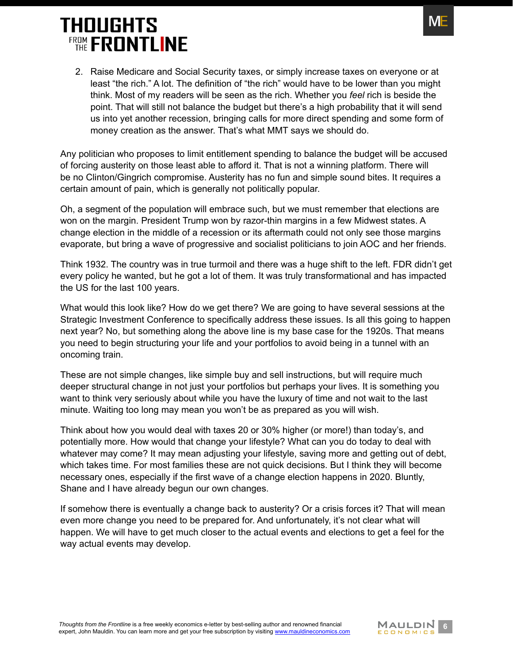

2. Raise Medicare and Social Security taxes, or simply increase taxes on everyone or at least "the rich." A lot. The definition of "the rich" would have to be lower than you might think. Most of my readers will be seen as the rich. Whether you *feel* rich is beside the point. That will still not balance the budget but there's a high probability that it will send us into yet another recession, bringing calls for more direct spending and some form of money creation as the answer. That's what MMT says we should do.

Any politician who proposes to limit entitlement spending to balance the budget will be accused of forcing austerity on those least able to afford it. That is not a winning platform. There will be no Clinton/Gingrich compromise. Austerity has no fun and simple sound bites. It requires a certain amount of pain, which is generally not politically popular.

Oh, a segment of the population will embrace such, but we must remember that elections are won on the margin. President Trump won by razor-thin margins in a few Midwest states. A change election in the middle of a recession or its aftermath could not only see those margins evaporate, but bring a wave of progressive and socialist politicians to join AOC and her friends.

Think 1932. The country was in true turmoil and there was a huge shift to the left. FDR didn't get every policy he wanted, but he got a lot of them. It was truly transformational and has impacted the US for the last 100 years.

What would this look like? How do we get there? We are going to have several sessions at the Strategic Investment Conference to specifically address these issues. Is all this going to happen next year? No, but something along the above line is my base case for the 1920s. That means you need to begin structuring your life and your portfolios to avoid being in a tunnel with an oncoming train.

These are not simple changes, like simple buy and sell instructions, but will require much deeper structural change in not just your portfolios but perhaps your lives. It is something you want to think very seriously about while you have the luxury of time and not wait to the last minute. Waiting too long may mean you won't be as prepared as you will wish.

Think about how you would deal with taxes 20 or 30% higher (or more!) than today's, and potentially more. How would that change your lifestyle? What can you do today to deal with whatever may come? It may mean adjusting your lifestyle, saving more and getting out of debt, which takes time. For most families these are not quick decisions. But I think they will become necessary ones, especially if the first wave of a change election happens in 2020. Bluntly, Shane and I have already begun our own changes.

If somehow there is eventually a change back to austerity? Or a crisis forces it? That will mean even more change you need to be prepared for. And unfortunately, it's not clear what will happen. We will have to get much closer to the actual events and elections to get a feel for the way actual events may develop.

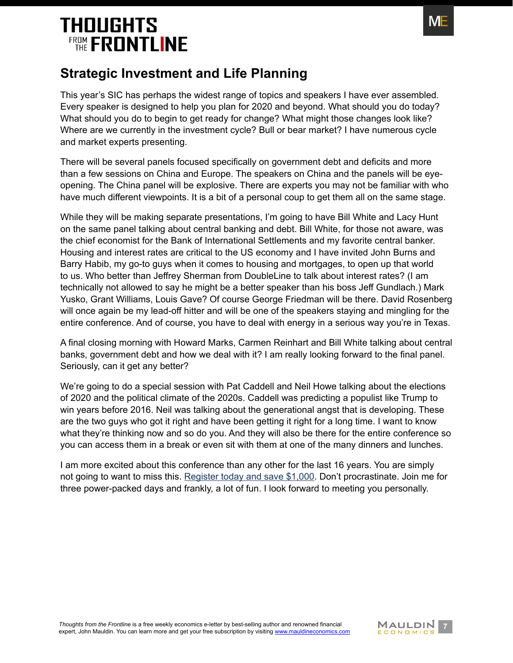

### <span id="page-6-0"></span>**Strategic Investment and Life Planning**

This year's SIC has perhaps the widest range of topics and speakers I have ever assembled. Every speaker is designed to help you plan for 2020 and beyond. What should you do today? What should you do to begin to get ready for change? What might those changes look like? Where are we currently in the investment cycle? Bull or bear market? I have numerous cycle and market experts presenting.

There will be several panels focused specifically on government debt and deficits and more than a few sessions on China and Europe. The speakers on China and the panels will be eyeopening. The China panel will be explosive. There are experts you may not be familiar with who have much different viewpoints. It is a bit of a personal coup to get them all on the same stage.

While they will be making separate presentations, I'm going to have Bill White and Lacy Hunt on the same panel talking about central banking and debt. Bill White, for those not aware, was the chief economist for the Bank of International Settlements and my favorite central banker. Housing and interest rates are critical to the US economy and I have invited John Burns and Barry Habib, my go-to guys when it comes to housing and mortgages, to open up that world to us. Who better than Jeffrey Sherman from DoubleLine to talk about interest rates? (I am technically not allowed to say he might be a better speaker than his boss Jeff Gundlach.) Mark Yusko, Grant Williams, Louis Gave? Of course George Friedman will be there. David Rosenberg will once again be my lead-off hitter and will be one of the speakers staying and mingling for the entire conference. And of course, you have to deal with energy in a serious way you're in Texas.

A final closing morning with Howard Marks, Carmen Reinhart and Bill White talking about central banks, government debt and how we deal with it? I am really looking forward to the final panel. Seriously, can it get any better?

We're going to do a special session with Pat Caddell and Neil Howe talking about the elections of 2020 and the political climate of the 2020s. Caddell was predicting a populist like Trump to win years before 2016. Neil was talking about the generational angst that is developing. These are the two guys who got it right and have been getting it right for a long time. I want to know what they're thinking now and so do you. And they will also be there for the entire conference so you can access them in a break or even sit with them at one of the many dinners and lunches.

I am more excited about this conference than any other for the last 16 years. You are simply not going to want to miss this. [Register today and save \\$1,000](http://www.mauldineconomics.com/go/v3bbjk/MEC). Don't procrastinate. Join me for three power-packed days and frankly, a lot of fun. I look forward to meeting you personally.

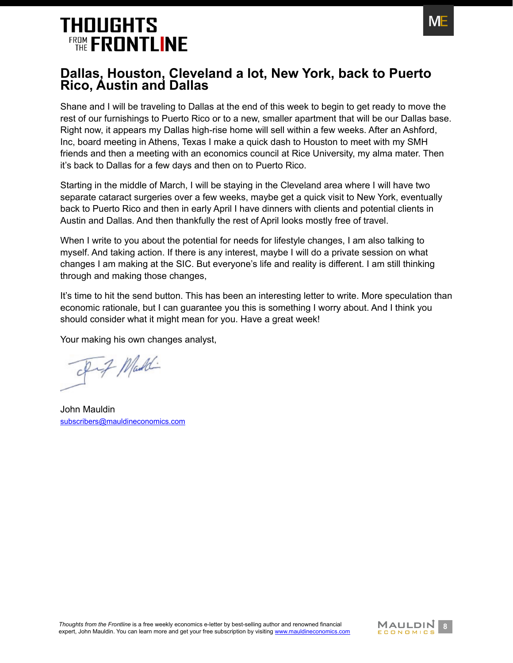

#### <span id="page-7-0"></span>**Dallas, Houston, Cleveland a lot, New York, back to Puerto Rico, Austin and Dallas**

Shane and I will be traveling to Dallas at the end of this week to begin to get ready to move the rest of our furnishings to Puerto Rico or to a new, smaller apartment that will be our Dallas base. Right now, it appears my Dallas high-rise home will sell within a few weeks. After an Ashford, Inc, board meeting in Athens, Texas I make a quick dash to Houston to meet with my SMH friends and then a meeting with an economics council at Rice University, my alma mater. Then it's back to Dallas for a few days and then on to Puerto Rico.

Starting in the middle of March, I will be staying in the Cleveland area where I will have two separate cataract surgeries over a few weeks, maybe get a quick visit to New York, eventually back to Puerto Rico and then in early April I have dinners with clients and potential clients in Austin and Dallas. And then thankfully the rest of April looks mostly free of travel.

When I write to you about the potential for needs for lifestyle changes. I am also talking to myself. And taking action. If there is any interest, maybe I will do a private session on what changes I am making at the SIC. But everyone's life and reality is different. I am still thinking through and making those changes,

It's time to hit the send button. This has been an interesting letter to write. More speculation than economic rationale, but I can guarantee you this is something I worry about. And I think you should consider what it might mean for you. Have a great week!

Your making his own changes analyst,

Fif Maddi

John Mauldin [subscribers@mauldineconomics.com](mailto:subscribers%40mauldineconomics.com?subject=)